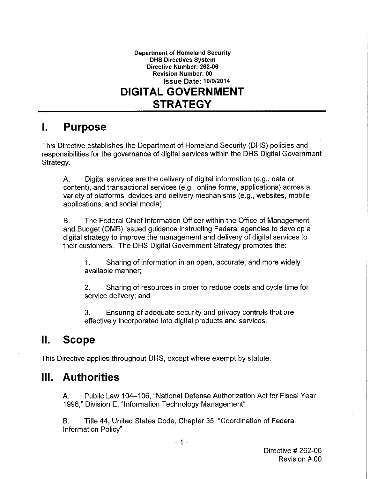

#### $\mathbf{L}$ **Purpose**

This Directive establishes the Department of Homeland Security (DHS) policies and responsibilities for the governance of digital services within the DHS Digital Government Strategy.

А. Digital services are the delivery of digital information (e.g., data or content), and transactional services (e.g., online forms, applications) across a variety of platforms, devices and delivery mechanisms (e.g., websites, mobile applications, and social media).

The Federal Chief Information Officer within the Office of Management **B.** and Budget (OMB) issued guidance instructing Federal agencies to develop a digital strategy to improve the management and delivery of digital services to their customers. The DHS Digital Government Strategy promotes the:

 $\mathbf{1}$ . Sharing of information in an open, accurate, and more widely available manner;

 $2.$ Sharing of resources in order to reduce costs and cycle time for service delivery; and

3. Ensuring of adequate security and privacy controls that are effectively incorporated into digital products and services.

#### $\Pi$ . **Scope**

This Directive applies throughout DHS, except where exempt by statute.

#### **Authorities** Ш.

Public Law 104-106, "National Defense Authorization Act for Fiscal Year А. 1996," Division E, "Information Technology Management"

Title 44, United States Code, Chapter 35, "Coordination of Federal В. Information Policy"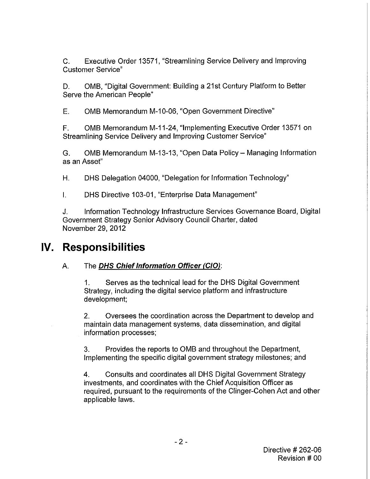C. Executive Order 13571, "Streamlining Service Delivery and Improving Customer Service"

D. OMB, "Digital Government: Building a 21st Century Platform to Better Serve the American People"

E. OMB Memorandum M-10-06, "Open Government Directive"

F. OMB Memorandum M-11-24, "Implementing Executive Order 13571 on Streamlining Service Delivery and Improving Customer Service"

G. OMB Memorandum M-13-13, "Open Data Policy- Managing Information as an Asset"

H. OHS Delegation 04000, "Delegation for Information Technology"

I. OHS Directive 103-01, "Enterprise Data Management"

J. Information Technology Infrastructure Services Governance Board, Digital Government Strategy Senior Advisory Council Charter, dated November 29, 2012

## **IV. Responsibilities**

## A. The **DHS Chief Information Officer (CIO):**

1. Serves as the technical lead for the OHS Digital Government Strategy, including the digital service platform and infrastructure development;

2. Oversees the coordination across the Department to develop and maintain data management systems, data dissemination, and digital information processes;

3. Provides the reports to OMB and throughout the Department, Implementing the specific digital government strategy milestones; and

4. Consults and coordinates all OHS Digital Government Strategy investments, and coordinates with the Chief Acquisition Officer as required, pursuant to the requirements of the Clinger-Cohen Act and other applicable laws.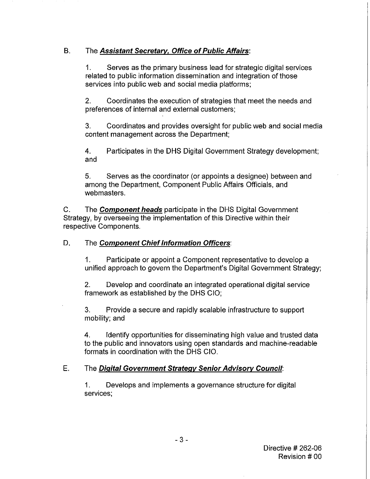### B. The **Assistant Secretary, Office of Public Affairs:**

1. Serves as the primary business lead for strategic digital services related to public information dissemination and integration of those services into public web and social media platforms;

2. Coordinates the execution of strategies that meet the needs and preferences of internal and external customers;

3. Coordinates and provides oversight for public web and social media content management across the Department;

4. Participates in the DHS Digital Government Strategy development; and

5. Serves as the coordinator (or appoints a designee) between and among the Department, Component Public Affairs Officials, and web masters.

C. The **Component heads** participate in the DHS Digital Government Strategy, by overseeing the implementation of this Directive within their respective Components.

### D. The **Component Chief Information Officers**:

1. Participate or appoint a Component representative to develop a unified approach to govern the Department's Digital Government Strategy;

2. Develop and coordinate an integrated operational digital service framework as established by the DHS CIO;

3. Provide a secure and rapidly scalable infrastructure to support mobility; and

4. Identify opportunities for disseminating high value and trusted data to the public and innovators using open standards and machine-readable formats in coordination with the DHS CIO.

### E. The **Digital Government Strategy Senior Advisory Council:**

1. Develops and implements a governance structure for digital services;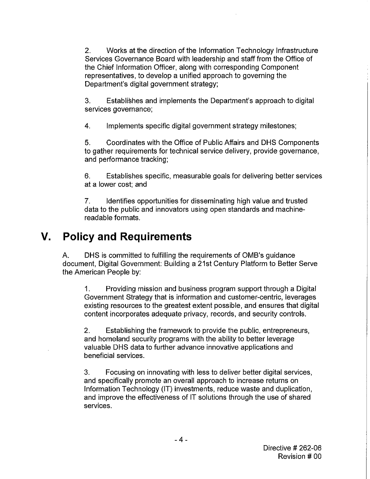2. Works at the direction of the Information Technology Infrastructure Services Governance Board with leadership and staff from the Office of the Chief Information Officer, along with corresponding Component representatives, to develop a unified approach to governing the Department's digital government strategy;

3. Establishes and implements the Department's approach to digital services governance;

4. Implements specific digital government strategy milestones;

5. Coordinates with the Office of Public Affairs and OHS Components to gather requirements for technical service delivery, provide governance, and performance tracking;

6. Establishes specific, measurable goals for delivering better services at a lower cost; and

7. Identifies opportunities for disseminating high value and trusted data to the public and innovators using open standards and machinereadable formats.

## **V. Policy and Requirements**

A. OHS is committed to fulfilling the requirements of OMB's guidance document, Digital Government: Building a 21st Century Platform to Better Serve the American People by:

1. Providing mission and business program support through a Digital Government Strategy that is information and customer-centric, leverages existing resources to the greatest extent possible, and ensures that digital content incorporates adequate privacy, records, and security controls.

2. Establishing the framework to provide the public, entrepreneurs, and homeland security programs with the ability to better leverage valuable OHS data to further advance innovative applications and beneficial services.

3. Focusing on innovating with less to deliver better digital services, and specifically promote an overall approach to increase returns on Information Technology (IT) investments, reduce waste and duplication, and improve the effectiveness of IT solutions through the use of shared services.